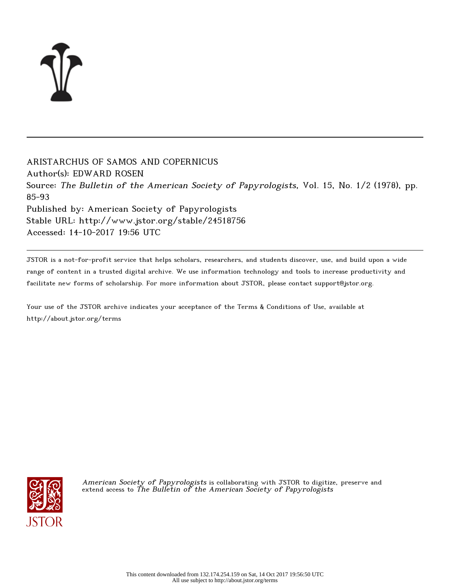

ARISTARCHUS OF SAMOS AND COPERNICUS Author(s): EDWARD ROSEN Source: The Bulletin of the American Society of Papyrologists, Vol. 15, No. 1/2 (1978), pp. 85-93 Published by: American Society of Papyrologists Stable URL: http://www.jstor.org/stable/24518756 Accessed: 14-10-2017 19:56 UTC

JSTOR is a not-for-profit service that helps scholars, researchers, and students discover, use, and build upon a wide range of content in a trusted digital archive. We use information technology and tools to increase productivity and facilitate new forms of scholarship. For more information about JSTOR, please contact support@jstor.org.

Your use of the JSTOR archive indicates your acceptance of the Terms & Conditions of Use, available at http://about.jstor.org/terms



A*merican Society of Papyrologists* is collaborating with JSTOR to digitize, preserve and extend access to The Bulletin of the American Society of Papyrologists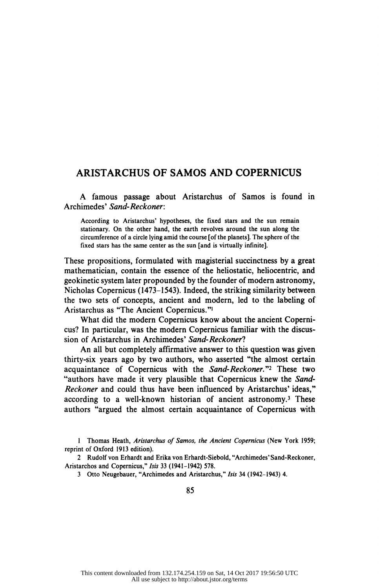## ARISTARCHUS OF SAMOS AND COPERNICUS

 A famous passage about Aristarchus of Samos is found in Archimedes' Sand-Reckoner:

 According to Aristarchus' hypotheses, the fixed stars and the sun remain stationary. On the other hand, the earth revolves around the sun along the circumference of a circle lying amid the course [of the planets]. The sphere of the fixed stars has the same center as the sun [and is virtually infinite].

 These propositions, formulated with magisterial succinctness by a great mathematician, contain the essence of the heliostatic, heliocentric, and geokinetic system later propounded by the founder of modern astronomy, Nicholas Copernicus (1473-1543). Indeed, the striking similarity between the two sets of concepts, ancient and modern, led to the labeling of Aristarchus as "The Ancient Copernicus."1

 What did the modern Copernicus know about the ancient Coperni cus? In particular, was the modern Copernicus familiar with the discus sion of Aristarchus in Archimedes' Sand-Reckoner?

 An all but completely affirmative answer to this question was given thirty-six years ago by two authors, who asserted "the almost certain acquaintance of Copernicus with the Sand-Reckoner."<sup>2</sup> These two "authors have made it very plausible that Copernicus knew the Sand- Reckoner and could thus have been influenced by Aristarchus' ideas," according to a well-known historian of ancient astronomy.<sup>3</sup> These authors "argued the almost certain acquaintance of Copernicus with

 1 Thomas Heath, Aristarchus of Samos, the Ancient Copernicus (New York 1959; reprint of Oxford 1913 edition).

 2 Rudolf von Erhardt and Erika von Erhardt-Siebold, "Archimedes' Sand-Reckoner, Aristarchos and Copernicus," Isis 33 (1941-1942) 578.

3 Otto Neugebauer, "Archimedes and Aristarchus," Isis 34 (1942-1943) 4.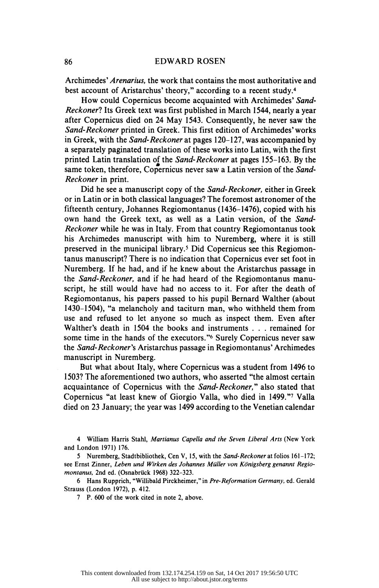Archimedes' Arenarius, the work that contains the most authoritative and best account of Aristarchus' theory," according to a recent study.<sup>4</sup>

 How could Copernicus become acquainted with Archimedes' Sand Reckoner? Its Greek text was first published in March 1544, nearly a year after Copernicus died on 24 May 1543. Consequently, he never saw the Sand-Reckoner printed in Greek. This first edition of Archimedes' works in Greek, with the Sand-Reckoner at pages 120-127, was accompanied by a separately paginated translation of these works into Latin, with the first printed Latin translation of the Sand-Reckoner at pages 155-163. By the same token, therefore, Copernicus never saw a Latin version of the Sand-Reckoner in print.

 Did he see a manuscript copy of the Sand-Reckoner, either in Greek or in Latin or in both classical languages? The foremost astronomer of the fifteenth century, Johannes Regiomontanus (1436-1476), copied with his own hand the Greek text, as well as a Latin version, of the Sand- Reckoner while he was in Italy. From that country Regiomontanus took his Archimedes manuscript with him to Nuremberg, where it is still preserved in the municipal library.5 Did Copernicus see this Regiomon tanus manuscript? There is no indication that Copernicus ever set foot in Nuremberg. If he had, and if he knew about the Aristarchus passage in the Sand-Reckoner, and if he had heard of the Regiomontanus manu script, he still would have had no access to it. For after the death of Regiomontanus, his papers passed to his pupil Bernard Walther (about 1430-1504), "a melancholy and taciturn man, who withheld them from use and refused to let anyone so much as inspect them. Even after Walther's death in 1504 the books and instruments . . . remained for some time in the hands of the executors."6 Surely Copernicus never saw the Sand-Reckoner's Aristarchus passage in Regiomontanus' Archimedes manuscript in Nuremberg.

 But what about Italy, where Copernicus was a student from 1496 to 1503? The aforementioned two authors, who asserted "the almost certain acquaintance of Copernicus with the Sand-Reckoner," also stated that Copernicus "at least knew of Giorgio Valla, who died in 1499."7 Valla died on 23 January; the year was 1499 according to the Venetian calendar

 4 William Harris Stahl, Martianus Capella and the Seven Liberal Arts (New York and London 1971) 176.

 5 Nuremberg, Stadtbibliothek, Cen V, 15, with the Sand-Reckoner at folios 161-172; see Ernst Zinner, Leben und Wirken des Johannes Müller von Königsberg genannt Regiomontanus, 2nd ed. (Osnabrück 1968) 322-323.

 6 Hans Rupprich, "Willibald Pirckheimer," in Pre-Reformation Germany, ed. Gerald Strauss (London 1972), p. 412.

7 P. 600 of the work cited in note 2, above.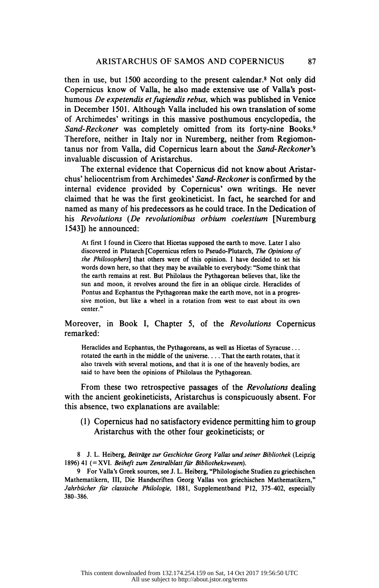then in use, but 1500 according to the present calendar.8 Not only did Copernicus know of Valla, he also made extensive use of Valla's post humous De expetendis et fugiendis rebus, which was published in Venice in December 1501. Although Valla included his own translation of some of Archimedes' writings in this massive posthumous encyclopedia, the Sand-Reckoner was completely omitted from its forty-nine Books.9 Therefore, neither in Italy nor in Nuremberg, neither from Regiomon tanus nor from Valla, did Copernicus learn about the Sand-Reckoner's invaluable discussion of Aristarchus.

 The external evidence that Copernicus did not know about Aristar chus' heliocentrism from Archimedes' Sand-Reckoner is confirmed by the internal evidence provided by Copernicus' own writings. He never claimed that he was the first geokineticist. In fact, he searched for and named as many of his predecessors as he could trace. In the Dedication of his Revolutions (De revolutionibus orbium coelestium [Nuremburg] 1543]) he announced:

 At first I found in Cicero that Hicetas supposed the earth to move. Later I also discovered in Plutarch [Copernicus refers to Pseudo-Plutarch, The Opinions of the Philosophers] that others were of this opinion. I have decided to set his words down here, so that they may be available to everybody: "Some think that the earth remains at rest. But Philolaus the Pythagorean believes that, like the sun and moon, it revolves around the fire in an oblique circle. Heraclides of Pontus and Ecphantus the Pythagorean make the earth move, not in a progres sive motion, but like a wheel in a rotation from west to east about its own center."

## Moreover, in Book I, Chapter 5, of the Revolutions Copernicus remarked:

 Heraclides and Ecphantus, the Pythagoreans, as well as Hicetas of Syracuse... rotated the earth in the middle of the universe. . . . That the earth rotates, that it also travels with several motions, and that it is one of the heavenly bodies, are said to have been the opinions of Philolaus the Pythagorean.

 From these two retrospective passages of the Revolutions dealing with the ancient geokineticists, Aristarchus is conspicuously absent. For this absence, two explanations are available:

 (1) Copernicus had no satisfactory evidence permitting him to group Aristarchus with the other four geokineticists; or

8 J. L. Heiberg, Beiträge zur Geschichte Georg Vallas und seiner Bibliothek (Leipzig 1896) 41 (= XVI. Beiheft zum Zentralblatt für Bibliothekswesen).

 9 For Valla's Greek sources, see J. L. Heiberg, "Philologische Studien zu griechischen Mathematikern, III, Die Handscriften Georg Vallas von griechischen Mathematikern," Jahrbücher für classische Philologie, 1881, Supplementband P12, 375-402, especially 380-386.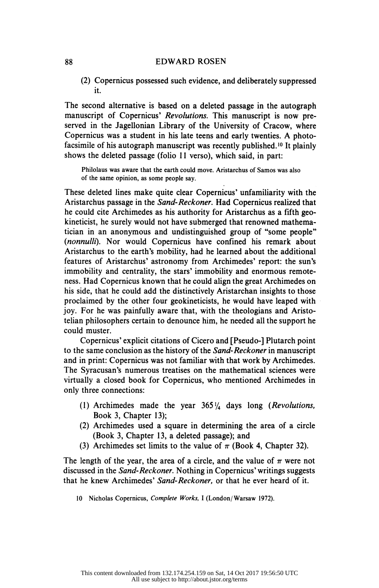## 88 EDWARD ROSEN

 (2) Copernicus possessed such evidence, and deliberately suppressed it.

 The second alternative is based on a deleted passage in the autograph manuscript of Copernicus' Revolutions. This manuscript is now preserved in the Jagellonian Library of the University of Cracow, where<br>Copernicus was a student in his late teens and early twenties. A photo-Copernicus was a student in his late teens and early facsimile of his autograph manuscript was recently published.10 It plainly shows the deleted passage (folio 11 verso), which said, in part:

 Philolaus was aware that the earth could move. Aristarchus of Samos was also of the same opinion, as some people say.

 These deleted lines make quite clear Copernicus' unfamiliarity with the Aristarchus passage in the Sand-Reckoner. Had Copernicus realized that he could cite Archimedes as his authority for Aristarchus as a fifth geo kineticist, he surely would not have submerged that renowned mathema tician in an anonymous and undistinguished group of "some people" (nonnulli). Nor would Copernicus have confined his remark about Aristarchus to the earth's mobility, had he learned about the additional features of Aristarchus' astronomy from Archimedes' report: the sun's immobility and centrality, the stars' immobility and enormous remote ness. Had Copernicus known that he could align the great Archimedes on his side, that he could add the distinctively Aristarchan insights to those proclaimed by the other four geokineticists, he would have leaped with joy. For he was painfully aware that, with the theologians and Aristo telian philosophers certain to denounce him, he needed all the support he could muster.

 Copernicus' explicit citations of Cicero and [Pseudo-] Plutarch point to the same conclusion as the history of the Sand-Reckoner in manuscript and in print: Copernicus was not familiar with that work by Archimedes. The Syracusan's numerous treatises on the mathematical sciences were virtually a closed book for Copernicus, who mentioned Archimedes in only three connections:

- (1) Archimedes made the year  $365\frac{1}{4}$  days long (Revolutions, Book 3, Chapter 13);
- (2) Archimedes used a square in determining the area of a circle (Book 3, Chapter 13, a deleted passage); and
- (3) Archimedes set limits to the value of  $\pi$  (Book 4, Chapter 32).

The length of the year, the area of a circle, and the value of  $\pi$  were not discussed in the Sand-Reckoner. Nothing in Copernicus'writings suggests that he knew Archimedes' Sand-Reckoner, or that he ever heard of it.

10 Nicholas Copernicus, Complete Works, I (London/Warsaw 1972).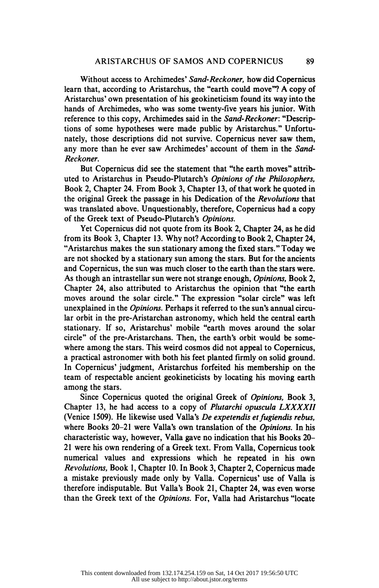Without access to Archimedes' Sand-Reckoner, how did Copernicus learn that, according to Aristarchus, the "earth could move"? A copy of Aristarchus' own presentation of his geokineticism found its way into the hands of Archimedes, who was some twenty-five years his junior. With reference to this copy, Archimedes said in the Sand-Reckoner: "Descrip tions of some hypotheses were made public by Aristarchus." Unfortu nately, those descriptions did not survive. Copernicus never saw them, any more than he ever saw Archimedes' account of them in the Sand Reckoner.

 But Copernicus did see the statement that "the earth moves" attrib uted to Aristarchus in Pseudo-Plutarch's Opinions of the Philosophers, Book 2, Chapter 24. From Book 3, Chapter 13, of that work he quoted in the original Greek the passage in his Dedication of the Revolutions that was translated above. Unquestionably, therefore, Copernicus had a copy of the Greek text of Pseudo-Plutarch's Opinions.

 Yet Copernicus did not quote from its Book 2, Chapter 24, as he did from its Book 3, Chapter 13. Why not? According to Book 2, Chapter 24, "Aristarchus makes the sun stationary among the fixed stars." Today we are not shocked by a stationary sun among the stars. But for the ancients and Copernicus, the sun was much closer to the earth than the stars were. As though an intrastellar sun were not strange enough, Opinions, Book 2, Chapter 24, also attributed to Aristarchus the opinion that "the earth moves around the solar circle." The expression "solar circle" was left unexplained in the *Opinions*. Perhaps it referred to the sun's annual circu lar orbit in the pre-Aristarchan astronomy, which held the central earth stationary. If so, Aristarchus' mobile "earth moves around the solar circle" of the pre-Aristarchans. Then, the earth's orbit would be some where among the stars. This weird cosmos did not appeal to Copernicus, a practical astronomer with both his feet planted firmly on solid ground. In Copernicus' judgment, Aristarchus forfeited his membership on the team of respectable ancient geokineticists by locating his moving earth among the stars.

 Since Copernicus quoted the original Greek of Opinions, Book 3, Chapter 13, he had access to a copy of Plutarchi opuscula LXXXXII (Venice 1509). He likewise used Valla's De expetendis et fugiendis rebus, where Books 20-21 were Valla's own translation of the *Opinions*. In his characteristic way, however, Valla gave no indication that his Books 20 21 were his own rendering of a Greek text. From Valla, Copernicus took numerical values and expressions which he repeated in his own Revolutions, Book 1, Chapter 10. In Book 3, Chapter 2, Copernicus made a mistake previously made only by Valla. Copernicus' use of Valla is therefore indisputable. But Valla's Book 21, Chapter 24, was even worse than the Greek text of the Opinions. For, Valla had Aristarchus "locate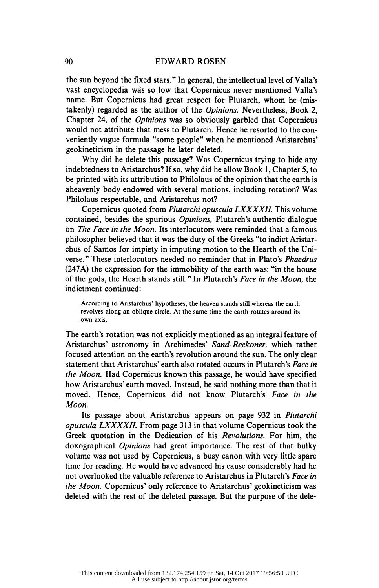## 90 EDWARD ROSEN

 the sun beyond the fixed stars." In general, the intellectual level of Valla's vast encyclopedia was so low that Copernicus never mentioned Valla's name. But Copernicus had great respect for Plutarch, whom he (mis takenly) regarded as the author of the Opinions. Nevertheless, Book 2, Chapter 24, of the Opinions was so obviously garbled that Copernicus would not attribute that mess to Plutarch. Hence he resorted to the con veniently vague formula "some people" when he mentioned Aristarchus' geokineticism in the passage he later deleted.

 Why did he delete this passage? Was Copernicus trying to hide any indebtedness to Aristarchus? If so, why did he allow Book 1, Chapter 5, to be printed with its attribution to Philolaus of the opinion that the earth is aheavenly body endowed with several motions, including rotation? Was Philolaus respectable, and Aristarchus not?

 Copernicus quoted from Plutarchi opuscula LXXXXII. This volume contained, besides the spurious Opinions, Plutarch's authentic dialogue on *The Face in the Moon*. Its interlocutors were reminded that a famous philosopher believed that it was the duty of the Greeks "to indict Aristar chus of Samos for impiety in imputing motion to the Hearth of the Uni verse." These interlocutors needed no reminder that in Plato's Phaedrus (247A) the expression for the immobility of the earth was: "in the house of the gods, the Hearth stands still." In Plutarch's Face in the Moon, the indictment continued:

 According to Aristarchus' hypotheses, the heaven stands still whereas the earth revolves along an oblique circle. At the same time the earth rotates around its own axis.

 The earth's rotation was not explicitly mentioned as an integral feature of Aristarchus' astronomy in Archimedes' Sand-Reckoner, which rather focused attention on the earth's revolution around the sun. The only clear statement that Aristarchus' earth also rotated occurs in Plutarch's Face in the Moon. Had Copernicus known this passage, he would have specified how Aristarchus' earth moved. Instead, he said nothing more than that it moved. Hence, Copernicus did not know Plutarch's Face in the Moon.

 Its passage about Aristarchus appears on page 932 in Plutarchi opuscula LXXXXII. From page 313 in that volume Copernicus took the Greek quotation in the Dedication of his Revolutions. For him, the doxographical Opinions had great importance. The rest of that bulky volume was not used by Copernicus, a busy canon with very little spare time for reading. He would have advanced his cause considerably had he not overlooked the valuable reference to Aristarchus in Plutarch's Face in the Moon. Copernicus' only reference to Aristarchus' geokineticism was deleted with the rest of the deleted passage. But the purpose of the dele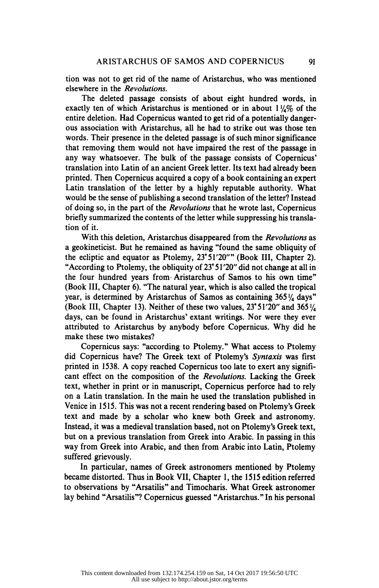tion was not to get rid of the name of Aristarchus, who was mentioned elsewhere in the Revolutions.

 The deleted passage consists of about eight hundred words, in exactly ten of which Aristarchus is mentioned or in about  $1\frac{1}{4}\%$  of the entire deletion. Had Copernicus wanted to get rid of a potentially danger ous association with Aristarchus, all he had to strike out was those ten words. Their presence in the deleted passage is of such minor significance that removing them would not have impaired the rest of the passage in any way whatsoever. The bulk of the passage consists of Copernicus' translation into Latin of an ancient Greek letter. Its text had already been printed. Then Copernicus acquired a copy of a book containing an expert Latin translation of the letter by a highly reputable authority. What would be the sense of publishing a second translation of the letter? Instead of doing so, in the part of the Revolutions that he wrote last, Copernicus briefly summarized the contents of the letter while suppressing his transla tion of it.

With this deletion, Aristarchus disappeared from the *Revolutions* as a geokineticist. But he remained as having "found the same obliquity of the ecliptic and equator as Ptolemy, 23° 51'20"" (Book III, Chapter 2). "According to Ptolemy, the obliquity of 23° 51 '20" did not change at all in the four hundred years from Aristarchus of Samos to his own time" (Book III, Chapter 6). "The natural year, which is also called the tropical year, is determined by Aristarchus of Samos as containing  $365\frac{1}{4}$  days" (Book III, Chapter 13). Neither of these two values,  $23^{\circ}51'20''$  and  $365\frac{1}{4}$  days, can be found in Aristarchus' extant writings. Nor were they ever attributed to Aristarchus by anybody before Copernicus. Why did he make these two mistakes?

 Copernicus says: "according to Ptolemy." What access to Ptolemy did Copernicus have? The Greek text of Ptolemy's Syntaxis was first printed in 1538. A copy reached Copernicus too late to exert any signifi cant effect on the composition of the Revolutions. Lacking the Greek text, whether in print or in manuscript, Copernicus perforce had to rely on a Latin translation. In the main he used the translation published in Venice in 1515. This was not a recent rendering based on Ptolemy's Greek text and made by a scholar who knew both Greek and astronomy. Instead, it was a medieval translation based, not on Ptolemy's Greek text, but on a previous translation from Greek into Arabic. In passing in this way from Greek into Arabic, and then from Arabic into Latin, Ptolemy suffered grievously.

 In particular, names of Greek astronomers mentioned by Ptolemy became distorted. Thus in Book VII, Chapter 1, the 1515 edition referred to observations by "Arsatilis" and Timocharis. What Greek astronomer lay behind "Arsatilis"? Copernicus guessed "Aristarchus." In his personal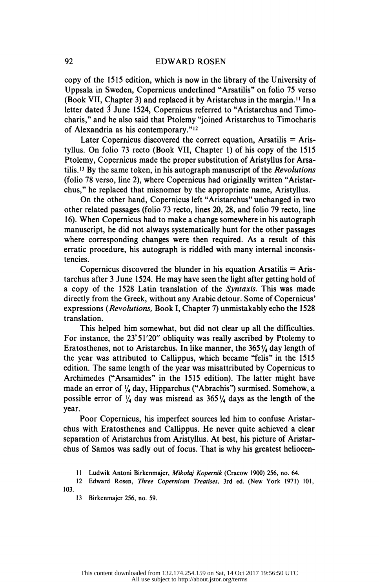copy of the 1515 edition, which is now in the library of the University of Uppsala in Sweden, Copernicus underlined "Arsatilis" on folio 75 verso (Book VII, Chapter 3) and replaced it by Aristarchus in the margin.11 In a letter dated 3 June 1524, Copernicus referred to "Aristarchus and Timo charis," and he also said that Ptolemy "joined Aristarchus to Timocharis of Alexandria as his contemporary."12

Later Copernicus discovered the correct equation, Arsatilis  $=$  Aris tyllus. On folio 73 recto (Book VII, Chapter 1) of his copy of the 1515 Ptolemy, Copernicus made the proper substitution of Aristyllus for Arsa tilis.<sup>13</sup> By the same token, in his autograph manuscript of the *Revolutions*  (folio 78 verso, line 2), where Copernicus had originally written "Aristar chus," he replaced that misnomer by the appropriate name, Aristyllus.

 On the other hand, Copernicus left "Aristarchus" unchanged in two other related passages (folio 73 recto, lines 20, 28, and folio 79 recto, line 16). When Copernicus had to make a change somewhere in his autograph manuscript, he did not always systematically hunt for the other passages where corresponding changes were then required. As a result of this erratic procedure, his autograph is riddled with many internal inconsis tencies.

Copernicus discovered the blunder in his equation Arsatilis  $=$  Aris tarchus after 3 June 1524. He may have seen the light after getting hold of a copy of the 1528 Latin translation of the Syntaxis. This was made directly from the Greek, without any Arabic detour. Some of Copernicus' expressions (Revolutions, Book I, Chapter 7) unmistakably echo the 1528 translation.

 This helped him somewhat, but did not clear up all the difficulties. For instance, the 23° 51'20" obliquity was really ascribed by Ptolemy to Eratosthenes, not to Aristarchus. In like manner, the  $365\frac{1}{4}$  day length of the year was attributed to Callippus, which became "felis" in the 1515 edition. The same length of the year was misattributed by Copernicus to Archimedes ("Arsamides" in the 1515 edition). The latter might have made an error of '/4 day, Hipparchus ("Abrachis") surmised. Somehow, a possible error of  $\frac{1}{4}$  day was misread as 365 $\frac{1}{4}$  days as the length of the year.

 Poor Copernicus, his imperfect sources led him to confuse Aristar chus with Eratosthenes and Callippus. He never quite achieved a clear separation of Aristarchus from Aristyllus. At best, his picture of Aristar chus of Samos was sadly out of focus. That is why his greatest heliocen

11 Ludwik Antoni Birkenmajer, Mikotaj Kopernik (Cracow 1900) 256, no. 64.

 12 Edward Rosen, Three Copernican Treatises, 3rd ed. (New York 1971) 101, 103.

13 Birkenmajer 256, no. 59.